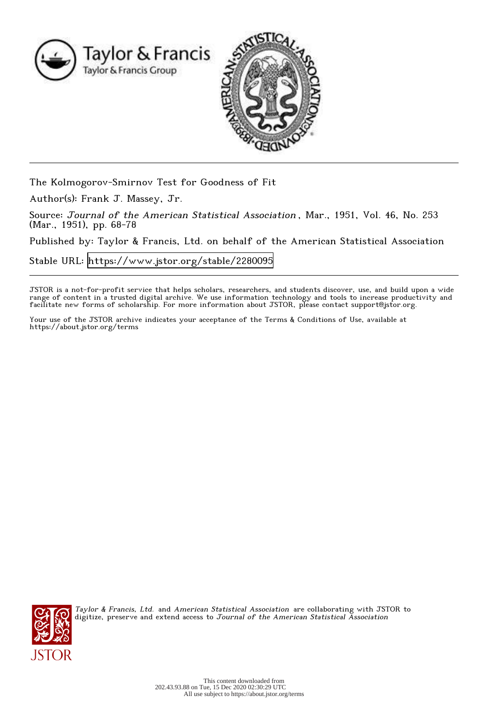

The Kolmogorov-Smirnov Test for Goodness of Fit

Author(s): Frank J. Massey, Jr.

Source: Journal of the American Statistical Association , Mar., 1951, Vol. 46, No. 253 (Mar., 1951), pp. 68-78

Published by: Taylor & Francis, Ltd. on behalf of the American Statistical Association

Stable URL:<https://www.jstor.org/stable/2280095>

JSTOR is a not-for-profit service that helps scholars, researchers, and students discover, use, and build upon a wide range of content in a trusted digital archive. We use information technology and tools to increase productivity and facilitate new forms of scholarship. For more information about JSTOR, please contact support@jstor.org.

Your use of the JSTOR archive indicates your acceptance of the Terms & Conditions of Use, available at https://about.jstor.org/terms



Taylor & Francis, Ltd. and American Statistical Association are collaborating with JSTOR to digitize, preserve and extend access to Journal of the American Statistical Association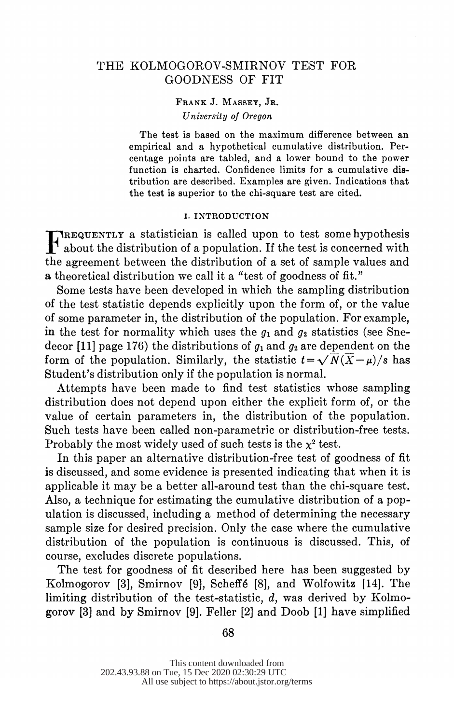# THE KOLMOGOROV-SMIRNOV TEST FOR GOODNESS OF FIT

## FRANK J. MASSEY, JR. University of Oregon

 The test is based on the maximum difference between an empirical and a hypothetical cumulative distribution. Per centage points are tabled, and a lower bound to the power function is charted. Confidence limits for a cumulative dis tribution are described. Examples are given. Indications that the test is superior to the chi-square test are cited.

### 1. INTRODUCTION

 F REQUENTLY a statistician is called upon to test somehypothesis about the distribution of a population. If the test is concerned with the agreement between the distribution of a set of sample values and a theoretical distribution we call it a "test of goodness of fit."

 Some tests have been developed in which the sampling distribution of the test statistic depends explicitly upon the form of, or the value of some parameter in, the distribution of the population. For example, in the test for normality which uses the  $q_1$  and  $q_2$  statistics (see Snedecor [11] page 176) the distributions of  $g_1$  and  $g_2$  are dependent on the form of the population. Similarly, the statistic  $t = \sqrt{\overline{N}(\overline{X}-\mu)/s}$  has Student's distribution only if the population is normal.

 Attempts have been made to find test statistics whose sampling distribution does not depend upon either the explicit form of, or the value of certain parameters in, the distribution of the population. Such tests have been called non-parametric or distribution-free tests. Probably the most widely used of such tests is the  $x^2$  test.

 In this paper an alternative distribution-free test of goodness of fit is discussed, and some evidence is presented indicating that when it is applicable it may be a better all-around test than the chi-square test. Also, a technique for estimating the cumulative distribution of a pop ulation is discussed, including a method of determining the necessary sample size for desired precision. Only the case where the cumulative distribution of the population is continuous is discussed. This, of course, excludes discrete populations.

 The test for goodness of fit described here has been suggested by Kolmogorov [3], Smirnov [9], Scheff6 [8], and Wolfowitz [14]. The limiting distribution of the test-statistic,  $d$ , was derived by Kolmogorov [3] and by Smirnov [9]. Feller [2] and Doob [1] have simplified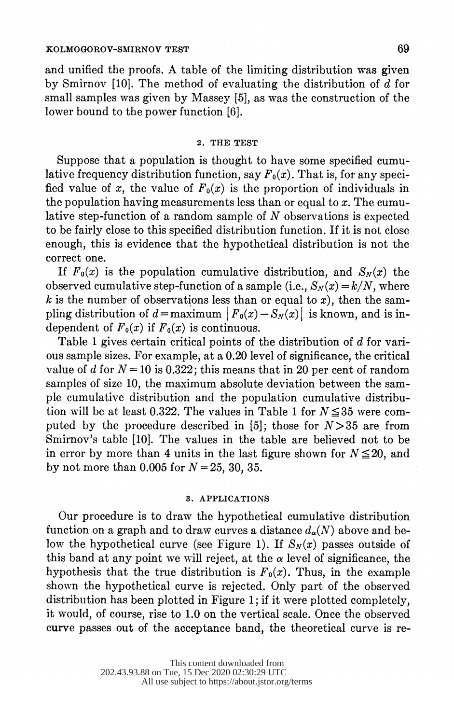and unified the proofs. A table of the limiting distribution was given by Smirnov [10]. The method of evaluating the distribution of  $\overrightarrow{d}$  for small samples was given by Massey [5], as was the construction of the lower bound to the power function [6].

#### 2. THE TEST

 Suppose that a population is thought to have some specified cumu lative frequency distribution function, say  $F_0(x)$ . That is, for any specified value of x, the value of  $F_0(x)$  is the proportion of individuals in the population having measurements less than or equal to x. The cumulative step-function of a random sample of  $N$  observations is expected to be fairly close to this specified distribution function. If it is not close enough, this is evidence that the hypothetical distribution is not the correct one.

If  $F_0(x)$  is the population cumulative distribution, and  $S_N(x)$  the observed cumulative step-function of a sample (i.e.,  $S_N(x) = k/N$ , where k is the number of observations less than or equal to x), then the sampling distribution of  $d = \text{maximum}$   $|F_0(x) - S_N(x)|$  is known, and is independent of  $F_0(x)$  if  $F_0(x)$  is continuous.

Table 1 gives certain critical points of the distribution of  $d$  for vari ous sample sizes. For example, at a 0.20 level of significance, the critical value of d for  $N=10$  is 0.322; this means that in 20 per cent of random samples of size 10, the maximum absolute deviation between the sam ple cumulative distribution and the population cumulative distribu tion will be at least 0.322. The values in Table 1 for  $N \leq 35$  were computed by the procedure described in [5]; those for  $N>35$  are from Smirnov's table [10]. The values in the table are believed not to be in error by more than 4 units in the last figure shown for  $N \leq 20$ , and by not more than 0.005 for  $N = 25, 30, 35$ .

### 3. APPLICATIONS

 Our procedure is to draw the hypothetical cumulative distribution function on a graph and to draw curves a distance  $d_{\alpha}(N)$  above and below the hypothetical curve (see Figure 1). If  $S_N(x)$  passes outside of this band at any point we will reject, at the  $\alpha$  level of significance, the hypothesis that the true distribution is  $F_0(x)$ . Thus, in the example shown the hypothetical curve is rejected. Only part of the observed distribution has been plotted in Figure 1; if it were plotted completely, it would, of course, rise to 1.0 on the vertical scale. Once the observed curve passes out of the acceptance band, the theoretical curve is re-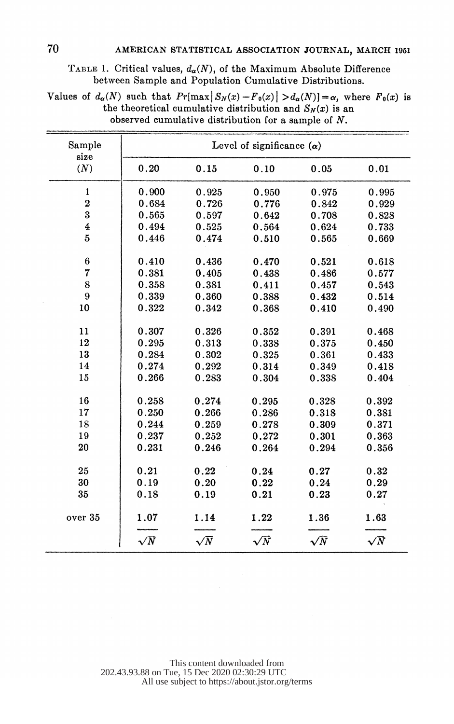|  |  | TABLE 1. Critical values, $d_{\alpha}(N)$ , of the Maximum Absolute Difference |  |
|--|--|--------------------------------------------------------------------------------|--|
|  |  | between Sample and Population Cumulative Distributions.                        |  |

| Values of $d_{\alpha}(N)$ such that $Pr[\max S_N(x) - F_0(x)  > d_{\alpha}(N)] = \alpha$ , where $F_0(x)$ is |  |
|--------------------------------------------------------------------------------------------------------------|--|
| the theoretical cumulative distribution and $S_N(x)$ is an                                                   |  |
| observed cumulative distribution for a sample of $N$ .                                                       |  |

| Sample<br>size          | Level of significance $(\alpha)$ |            |            |            |            |  |
|-------------------------|----------------------------------|------------|------------|------------|------------|--|
| (N)                     | 0.20                             | 0.15       | 0.10       | 0.05       | 0.01       |  |
| 1                       | 0.900                            | 0.925      | 0.950      | 0.975      | 0.995      |  |
| $\overline{2}$          | 0.684                            | 0.726      | 0.776      | 0.842      | 0.929      |  |
| 3                       | 0.565                            | 0.597      | 0.642      | 0.708      | 0.828      |  |
| $\overline{\mathbf{4}}$ | 0.494                            | 0.525      | 0.564      | 0.624      | 0.733      |  |
| 5                       | 0.446                            | 0.474      | 0.510      | 0.565      | 0.669      |  |
| 6                       | 0.410                            | 0.436      | 0.470      | 0.521      | 0.618      |  |
| 7                       | 0.381                            | 0.405      | 0.438      | 0.486      | 0.577      |  |
| 8                       | 0.358                            | 0.381      | 0.411      | 0.457      | 0.543      |  |
| 9                       | 0.339                            | 0.360      | 0.388      | 0.432      | 0.514      |  |
| 10                      | 0.322                            | 0.342      | 0.368      | 0.410      | 0.490      |  |
| 11                      | 0.307                            | 0.326      | 0.352      | 0.391      | 0.468      |  |
| 12                      | 0.295                            | 0.313      | 0.338      | 0.375      | 0.450      |  |
| 13                      | 0.284                            | 0.302      | 0.325      | 0.361      | 0.433      |  |
| 14                      | 0.274                            | 0.292      | 0.314      | 0.349      | 0.418      |  |
| 15                      | 0.266                            | 0.283      | 0.304      | 0.338      | 0.404      |  |
| 16                      | 0.258                            | 0.274      | 0.295      | 0.328      | 0.392      |  |
| 17                      | 0.250                            | 0.266      | 0.286      | 0.318      | 0.381      |  |
| 18                      | 0.244                            | 0.259      | 0.278      | 0.309      | 0.371      |  |
| 19                      | 0.237                            | 0.252      | 0.272      | 0.301      | 0.363      |  |
| 20                      | 0.231                            | 0.246      | 0.264      | 0.294      | 0.356      |  |
| 25                      | 0.21                             | 0.22       | 0.24       | 0.27       | 0.32       |  |
| 30                      | 0.19                             | 0.20       | 0.22       | 0.24       | 0.29       |  |
| 35                      | 0.18                             | 0.19       | 0.21       | 0.23       | 0.27       |  |
| over 35                 | 1.07                             | 1.14       | 1.22       | 1.36       | 1.63       |  |
|                         | $\sqrt{N}$                       | $\sqrt{N}$ | $\sqrt{N}$ | $\sqrt{N}$ | $\sqrt{N}$ |  |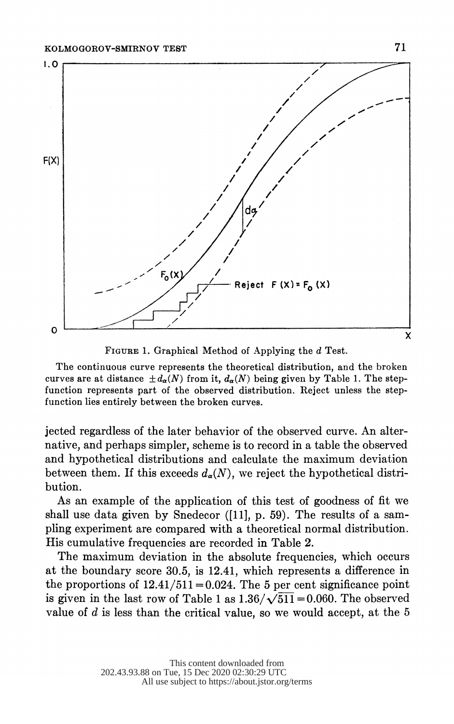

FIGURE 1. Graphical Method of Applying the d Test.

 The continuous curve represents the theoretical distribution, and the broken curves are at distance  $\pm d_{\alpha}(N)$  from it,  $d_{\alpha}(N)$  being given by Table 1. The step function represents part of the observed distribution. Reject unless the step function lies entirely between the broken curves.

 jected regardless of the later behavior of the observed curve. An alter native, and perhaps simpler, scheme is to record in a table the observed and hypothetical distributions and calculate the maximum deviation between them. If this exceeds  $d_{\alpha}(N)$ , we reject the hypothetical distribution.

 As an example of the application of this test of goodness of fit we shall use data given by Snedecor ([11], p. 59). The results of a sam pling experiment are compared with a theoretical normal distribution. His cumulative frequencies are recorded in Table 2.

 The maximum deviation in the absolute frequencies, which occurs at the boundary score 30.5, is 12.41, which represents a difference in the proportions of  $12.41/511 = 0.024$ . The 5 per cent significance point is given in the last row of Table 1 as  $1.36/\sqrt{511} = 0.060$ . The observed value of  $d$  is less than the critical value, so we would accept, at the  $5$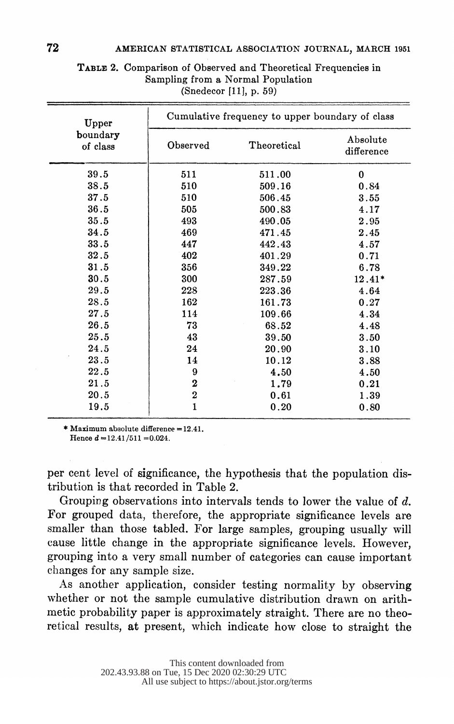| boundary<br>of class | Observed         | Theoretical | Absolute<br>difference |
|----------------------|------------------|-------------|------------------------|
| 39.5                 | 511              | 511.00      | $\bf{0}$               |
| 38.5                 | 510              | 509.16      | 0.84                   |
| $\bf 37.5$           | 510              | 506.45      | 3.55                   |
| 36.5                 | 505              | 500.83      | 4.17                   |
| 35.5                 | 493              | 490.05      | 2.95                   |
| 34.5                 | 469              | 471.45      | 2.45                   |
| $33.5\,$             | 447              | 442.43      | 4.57                   |
| 32.5                 | 402              | 401.29      | 0.71                   |
| 31.5                 | 356              | 349.22      | 6.78                   |
| 30.5                 | 300              | 287.59      | 12.41*                 |
| 29.5                 | 228              | 223.36      | 4.64                   |
| 28.5                 | 162              | 161.73      | 0.27                   |
| $27\,.5$             | 114              | 109.66      | 4.34                   |
| 26.5                 | 73               | 68.52       | 4.48                   |
| $25\,.5$             | 43               | 39.50       | 3.50                   |
| 24.5                 | 24               | 20.90       | 3.10                   |
| 23.5                 | 14               | 10.12       | 3.88                   |
| $22\,.5$             | $\boldsymbol{9}$ | 4.50        | 4.50                   |
| 21.5                 | $\bf 2$          | 1.79        | 0.21                   |
| 20.5                 | $\bf 2$          | 0.61        | 1.39                   |
| 19.5                 | $\mathbf 1$      | 0.20        | 0.80                   |

 TABLE 2. Comparison of Observed and Theoretical Frequencies in Sampling from a Normal Population (Snedecor [111, p. 59)

Hence  $d = 12.41/511 = 0.024$ .

 per cent level of significance, the hypothesis that the population dis tribution is that recorded in Table 2.

Grouping observations into intervals tends to lower the value of d. For grouped data, therefore, the appropriate significance levels are smaller than those tabled. For large samples, grouping usually will cause little change in the appropriate significance levels. However, grouping into a very small number of categories can cause important changes for any sample size.

 As another application, consider testing normality by observing whether or not the sample cumulative distribution drawn on arith metic probability paper is approximately straight. There are no theo retical results, at present, which indicate how close to straight the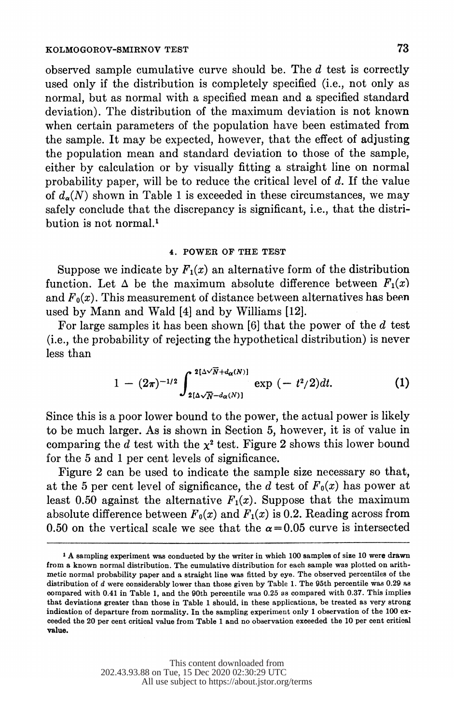observed sample cumulative curve should be. The d test is correctly used only if the distribution is completely specified (i.e., not only as normal, but as normal with a specified mean and a specified standard deviation). The distribution of the maximum deviation is not known when certain parameters of the population have been estimated from the sample. It may be expected, however, that the effect of adjusting the population mean and standard deviation to those of the sample, either by calculation or by visually fitting a straight line on normal probability paper, will be to reduce the critical level of  $d$ . If the value of  $d_{\alpha}(N)$  shown in Table 1 is exceeded in these circumstances, we may safely conclude that the discrepancy is significant, i.e., that the distri bution is not normal.'

### 4. POWER OF THE TEST

Suppose we indicate by  $F_1(x)$  an alternative form of the distribution function. Let  $\Delta$  be the maximum absolute difference between  $F_1(x)$ and  $F_0(x)$ . This measurement of distance between alternatives has been used by Mann and Wald [4] and by Williams [12].

For large samples it has been shown  $[6]$  that the power of the  $d$  test (i.e., the probability of rejecting the hypothetical distribution) is never less than

$$
1 - (2\pi)^{-1/2} \int_{2[\Delta\sqrt{N} - d_{\alpha}(N)]}^{2[\Delta\sqrt{N} + d_{\alpha}(N)]} \exp\left(-t^2/2\right) dt. \tag{1}
$$

 Since this is a poor lower bound to the power, the actual power is likely to be much larger. As is shown in Section 5, however, it is of value in comparing the d test with the  $\chi^2$  test. Figure 2 shows this lower bound for the 5 and 1 per cent levels of significance.

 Figure 2 can be used to indicate the sample size necessary so that, at the 5 per cent level of significance, the d test of  $F_0(x)$  has power at least 0.50 against the alternative  $F_1(x)$ . Suppose that the maximum absolute difference between  $F_0(x)$  and  $F_1(x)$  is 0.2. Reading across from 0.50 on the vertical scale we see that the  $\alpha = 0.05$  curve is intersected

 <sup>1</sup> A sampling experiment was conducted by the writer in which 100 samples of size 10 were drawn from a known normal distribution. The cumulative distribution for each sample was plotted on arith metic normal probability paper and a straight line was fitted by eye. The observed percentiles of the distribution of d were considerably lower than those given by Table 1. The 95th percentile was 0.29 as oompared with 0.41 in Table 1, and the 90th percentile was 0.25 as compared with 0.37. This implies that deviations greater than those in Table 1 should, in these applications, be treated as very strong indication of departure from normality. In the sampling experiment only 1 observation of the 100 ex ceeded the 20 per cent critical value from Table 1 and no observation exceeded the 10 per cent critical value.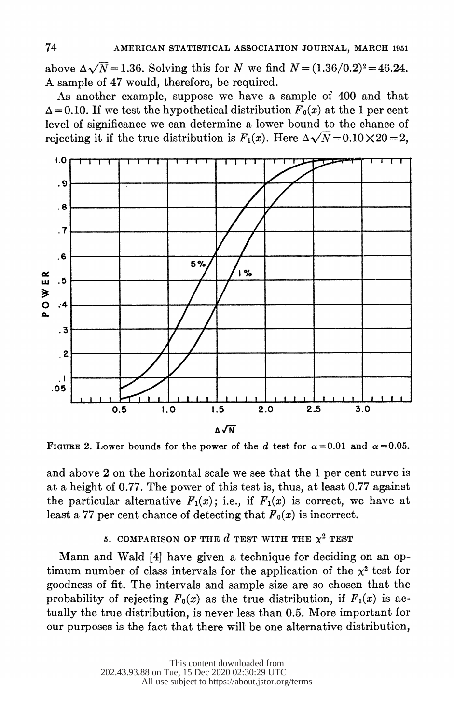above  $\Delta\sqrt{N}$  = 1.36. Solving this for N we find  $N = (1.36/0.2)^2 = 46.24$ . A sample of 47 would, therefore, be required.

 As another example, suppose we have a sample of 400 and that  $\Delta = 0.10$ . If we test the hypothetical distribution  $F_0(x)$  at the 1 per cent level of significance we can determine a lower bound to the chance of rejecting it if the true distribution is  $F_1(x)$ . Here  $\Delta \sqrt{N} = 0.10 \times 20 = 2$ .



FIGURE 2. Lower bounds for the power of the d test for  $\alpha = 0.01$  and  $\alpha = 0.05$ .

 and above 2 on the horizontal scale we see that the 1 per cent curve is at a height of 0.77. The power of this test is, thus, at least 0.77 against the particular alternative  $F_1(x)$ ; i.e., if  $F_1(x)$  is correct, we have at least a 77 per cent chance of detecting that  $F_0(x)$  is incorrect.

# 5. COMPARISON OF THE  $d$  TEST WITH THE  $\chi^2$  TEST

 Mann and Wald [4] have given a technique for deciding on an op timum number of class intervals for the application of the  $x^2$  test for goodness of fit. The intervals and sample size are so chosen that the probability of rejecting  $F_0(x)$  as the true distribution, if  $F_1(x)$  is ac tually the true distribution, is never less than 0.5. More important for our purposes is the fact that there will be one alternative distribution,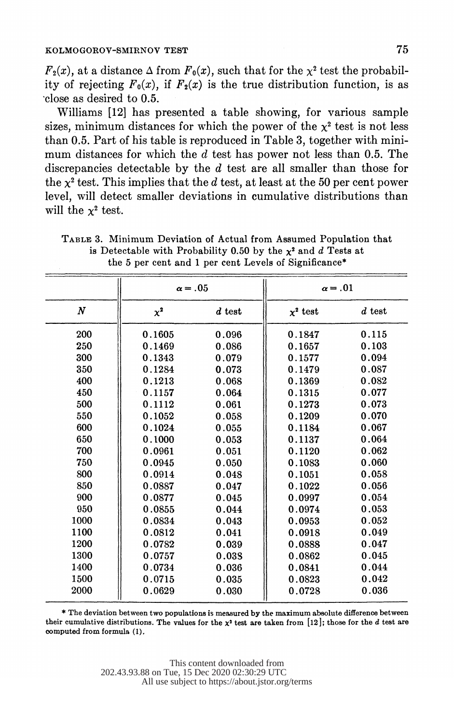$F_2(x)$ , at a distance  $\Delta$  from  $F_0(x)$ , such that for the  $\chi^2$  test the probability of rejecting  $F_0(x)$ , if  $F_2(x)$  is the true distribution function, is as 'close as desired to 0.5.

 Williams [12] has presented a table showing, for various sample sizes, minimum distances for which the power of the  $x^2$  test is not less than 0.5. Part of his table is reproduced in Table 3, together with mini mum distances for which the  $d$  test has power not less than 0.5. The discrepancies detectable by the d test are all smaller than those for the  $x^2$  test. This implies that the d test, at least at the 50 per cent power level, will detect smaller deviations in cumulative distributions than will the  $x^2$  test.

|                  | $\alpha = 0.05$ |          | $\alpha = .01$ |          |
|------------------|-----------------|----------|----------------|----------|
| $\boldsymbol{N}$ | $x^2$           | $d$ test | $x^2$ test     | $d$ test |
| 200              | 0.1605          | 0.096    | 0.1847         | 0.115    |
| 250              | 0.1469          | 0.086    | 0.1657         | 0.103    |
| 300              | 0.1343          | 0.079    | 0.1577         | 0.094    |
| 350              | 0.1284          | 0.073    | 0.1479         | 0.087    |
| 400              | 0.1213          | 0.068    | 0.1369         | 0.082    |
| 450              | 0.1157          | 0.064    | 0.1315         | 0.077    |
| 500              | 0.1112          | 0.061    | 0.1273         | 0.073    |
| 550              | 0.1052          | 0.058    | 0.1209         | 0.070    |
| 600              | 0.1024          | 0.055    | 0.1184         | 0.067    |
| 650              | 0.1000          | 0.053    | 0.1137         | 0.064    |
| 700              | 0.0961          | 0.051    | 0.1120         | 0.062    |
| 750              | 0.0945          | 0.050    | 0.1083         | 0.060    |
| 800              | 0.0914          | 0.048    | 0.1051         | 0.058    |
| 850              | 0.0887          | 0.047    | 0.1022         | 0.056    |
| 900              | 0.0877          | 0.045    | 0.0997         | 0.054    |
| 950              | 0.0855          | 0.044    | 0.0974         | 0.053    |
| 1000             | 0.0834          | 0.043    | 0.0953         | 0.052    |
| 1100             | 0.0812          | 0.041    | 0.0918         | 0.049    |
| 1200             | 0.0782          | 0.039    | 0.0888         | 0.047    |
| 1300             | 0.0757          | 0.038    | 0.0862         | 0.045    |
| 1400             | 0.0734          | 0.036    | 0.0841         | 0.044    |
| 1500             | 0.0715          | 0.035    | 0.0823         | 0.042    |
| 2000             | 0.0629          | 0.030    | 0.0728         | 0.036    |
|                  |                 |          |                |          |

 TABLE 3. Minimum Deviation of Actual from Assumed Population that is Detectable with Probability 0.50 by the  $x^2$  and d Tests at the 5 per cent and 1 per cent Levels of Significance\*

 \* The deviation between two populations is measured by the maximum absolute difference between their cumulative distributions. The values for the  $x^2$  test are taken from [12]; those for the d test are computed from formula (1)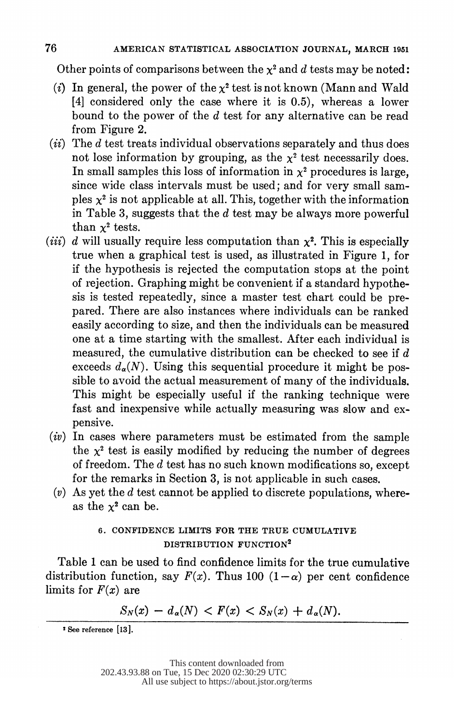Other points of comparisons between the  $x^2$  and d tests may be noted:

- (i) In general, the power of the  $x^2$  test is not known (Mann and Wald [4] considered only the case where it is 0.5), whereas a lower bound to the power of the d test for any alternative can be read from Figure 2.
- $(ii)$  The d test treats individual observations separately and thus does not lose information by grouping, as the  $x^2$  test necessarily does. In small samples this loss of information in  $x^2$  procedures is large, since wide class intervals must be used; and for very small sam ples  $x^2$  is not applicable at all. This, together with the information in Table 3, suggests that the  $d$  test may be always more powerful than  $x^2$  tests.
- (*iii*) d will usually require less computation than  $x^2$ . This is especially true when a graphical test is used, as illustrated in Figure 1, for if the hypothesis is rejected the computation stops at the point of rejection. Graphing might be convenient if a standard hypothe sis is tested repeatedly, since a master test chart could be pre pared. There are also instances where individuals can be ranked easily according to size, and then the individuals can be measured one at a time starting with the smallest. After each individual is measured, the cumulative distribution can be checked to see if  $d$ exceeds  $d_{\alpha}(N)$ . Using this sequential procedure it might be pos sible to avoid the actual measurement of many of the individuals. This might be especially useful if the ranking technique were fast and inexpensive while actually measuring was slow and ex pensive.
- $(iv)$  In cases where parameters must be estimated from the sample the  $x^2$  test is easily modified by reducing the number of degrees of freedom. The d test has no such known modifications so, except for the remarks in Section 3, is not applicable in such cases.
- $(v)$  As yet the d test cannot be applied to discrete populations, whereas the  $x^2$  can be.

# 6. CONFIDENCE LIMITS FOR THE TRUE CUMULATIVE DISTRIBUTION FUNCTION<sup>2</sup>

 Table 1 can be used to find confidence limits for the true cumulative distribution function, say  $F(x)$ . Thus 100  $(1-\alpha)$  per cent confidence limits for  $F(x)$  are

 $S_N(x) - d_{\alpha}(N) < F(x) < S_N(x) + d_{\alpha}(N).$ 

<sup>2</sup> See reference [13].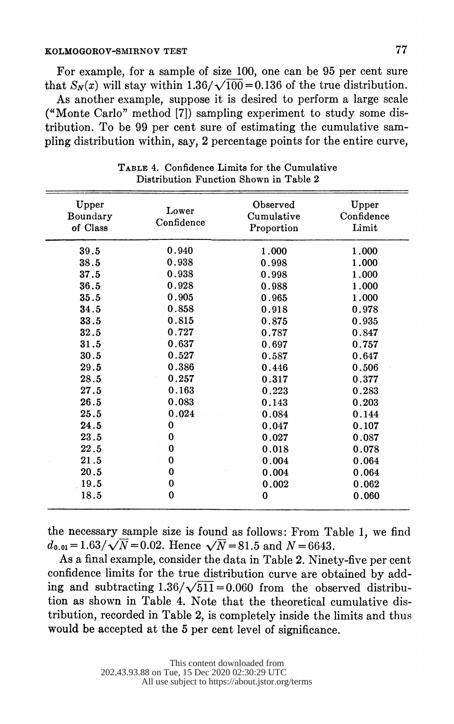### KOLMOGOROV-SMIRNOV TEST **77**

 For example, for a sample of size 100, one can be 95 per cent sure that  $S_N(x)$  will stay within 1.36/ $\sqrt{100}$  = 0.136 of the true distribution.

 As another example, suppose it is desired to perform a large scale ("Monte Carlo" method [7]) sampling experiment to study some dis tribution. To be 99 per cent sure of estimating the cumulative sam pling distribution within, say, 2 percentage points for the entire curve,

| Upper<br>Boundary<br>of Class | Lower<br>Confidence | Observed<br>Cumulative<br>Proportion | Upper<br>Confidence<br>Limit |
|-------------------------------|---------------------|--------------------------------------|------------------------------|
| 39.5                          | 0.940               | 1.000                                | 1.000                        |
| 38.5                          | 0.938               | 0.998                                | 1.000                        |
| 37.5                          | 0.938               | 0.998                                | 1.000                        |
| 36.5                          | 0.928               | 0.988                                | 1.000                        |
| 35.5                          | 0.905               | 0.965                                | 1.000                        |
| 34.5                          | 0.858               | 0.918                                | 0.978                        |
| 33.5                          | 0.815               | 0.875                                | 0.935                        |
| 32.5                          | 0.727               | 0.787                                | 0.847                        |
| 31.5                          | 0.637               | 0.697                                | 0.757                        |
| 30.5                          | 0.527               | 0.587                                | 0.647                        |
| 29.5                          | 0.386               | 0.446                                | 0.506                        |
| 28.5                          | 0.257               | 0.317                                | 0.377                        |
| 27.5                          | 0.163               | 0.223                                | 0.283                        |
| 26.5                          | 0.083               | 0.143                                | 0.203                        |
| 25.5                          | 0.024               | 0.084                                | 0.144                        |
| 24.5                          | 0                   | 0.047                                | 0.107                        |
| 23.5                          | $\bf{0}$            | 0.027                                | 0.087                        |
| 22.5                          | 0                   | 0.018                                | 0.078                        |
| 21.5                          | 0                   | 0.004                                | 0.064                        |
| 20.5                          | 0                   | 0.004                                | 0.064                        |
| 19.5                          | 0                   | 0.002                                | 0.062                        |
| 18.5                          | 0                   | $\bf{0}$                             | 0.060                        |

 TABLE 4. Confidence Limits for the Cumulative Distribution Function Shown in Table 2

 the necessary sample size is found as follows: From Table 1, we find  $d_{0.01} = 1.63/\sqrt{N} = 0.02$ . Hence  $\sqrt{N} = 81.5$  and  $N = 6643$ .

 As a final example, consider the data in Table 2. Ninety-five per cent confidence limits for the true distribution curve are obtained by add ing and subtracting  $1.36/\sqrt{511} = 0.060$  from the observed distribu tion as shown in Table 4. Note that the theoretical cumulative dis tribution, recorded in Table 2, is completely inside the limits and thus would be accepted at the 5 per cent level of significance.